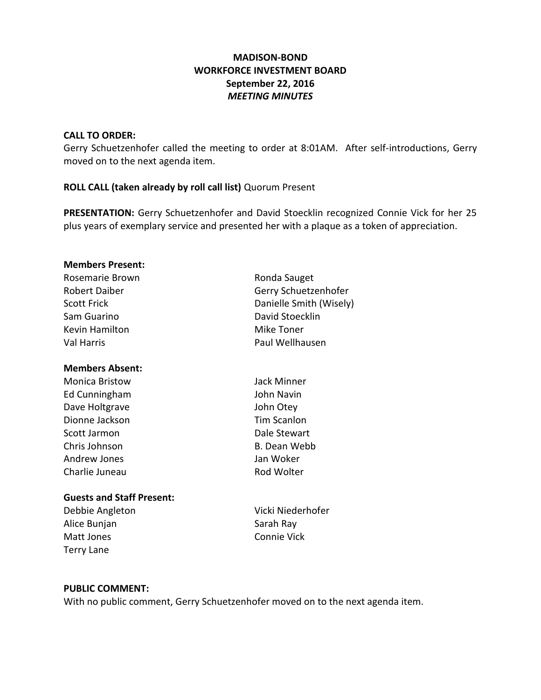# **MADISON-BOND WORKFORCE INVESTMENT BOARD September 22, 2016** *MEETING MINUTES*

#### **CALL TO ORDER:**

Gerry Schuetzenhofer called the meeting to order at 8:01AM. After self-introductions, Gerry moved on to the next agenda item.

# **ROLL CALL (taken already by roll call list)** Quorum Present

**PRESENTATION:** Gerry Schuetzenhofer and David Stoecklin recognized Connie Vick for her 25 plus years of exemplary service and presented her with a plaque as a token of appreciation.

#### **Members Present:**

| Ronda Sauget            |
|-------------------------|
| Gerry Schuetzenhofer    |
| Danielle Smith (Wisely) |
| David Stoecklin         |
| Mike Toner              |
| Paul Wellhausen         |
|                         |

# **Members Absent:**

Monica Bristow Jack Minner Ed Cunningham John Navin Dave Holtgrave **Contract Contract Contract Contract Contract Contract Contract Contract Contract Contract Contract Contract Contract Contract Contract Contract Contract Contract Contract Contract Contract Contract Contract** Dionne Jackson Tim Scanlon Scott Jarmon **Dale Stewart** Chris Johnson B. Dean Webb Andrew Jones Jan Woker Charlie Juneau **Rod Wolter** Rod Wolter

# **Guests and Staff Present:**

Alice Bunjan Nay Sarah Ray Matt Jones Connie Vick Terry Lane

Debbie Angleton Vicki Niederhofer

# **PUBLIC COMMENT:**

With no public comment, Gerry Schuetzenhofer moved on to the next agenda item.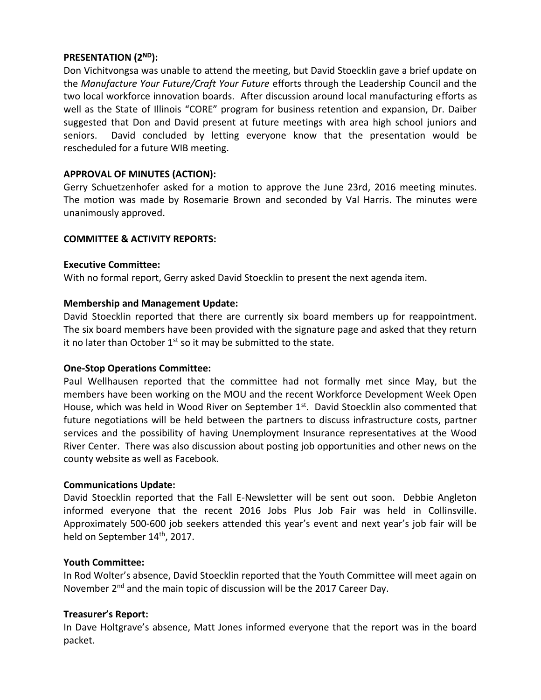# **PRESENTATION (2ND):**

Don Vichitvongsa was unable to attend the meeting, but David Stoecklin gave a brief update on the *Manufacture Your Future/Craft Your Future* efforts through the Leadership Council and the two local workforce innovation boards. After discussion around local manufacturing efforts as well as the State of Illinois "CORE" program for business retention and expansion, Dr. Daiber suggested that Don and David present at future meetings with area high school juniors and seniors. David concluded by letting everyone know that the presentation would be rescheduled for a future WIB meeting.

# **APPROVAL OF MINUTES (ACTION):**

Gerry Schuetzenhofer asked for a motion to approve the June 23rd, 2016 meeting minutes. The motion was made by Rosemarie Brown and seconded by Val Harris. The minutes were unanimously approved.

# **COMMITTEE & ACTIVITY REPORTS:**

# **Executive Committee:**

With no formal report, Gerry asked David Stoecklin to present the next agenda item.

# **Membership and Management Update:**

David Stoecklin reported that there are currently six board members up for reappointment. The six board members have been provided with the signature page and asked that they return it no later than October  $1<sup>st</sup>$  so it may be submitted to the state.

# **One-Stop Operations Committee:**

Paul Wellhausen reported that the committee had not formally met since May, but the members have been working on the MOU and the recent Workforce Development Week Open House, which was held in Wood River on September 1st. David Stoecklin also commented that future negotiations will be held between the partners to discuss infrastructure costs, partner services and the possibility of having Unemployment Insurance representatives at the Wood River Center. There was also discussion about posting job opportunities and other news on the county website as well as Facebook.

# **Communications Update:**

David Stoecklin reported that the Fall E-Newsletter will be sent out soon. Debbie Angleton informed everyone that the recent 2016 Jobs Plus Job Fair was held in Collinsville. Approximately 500-600 job seekers attended this year's event and next year's job fair will be held on September 14<sup>th</sup>, 2017.

# **Youth Committee:**

In Rod Wolter's absence, David Stoecklin reported that the Youth Committee will meet again on November 2<sup>nd</sup> and the main topic of discussion will be the 2017 Career Day.

# **Treasurer's Report:**

In Dave Holtgrave's absence, Matt Jones informed everyone that the report was in the board packet.